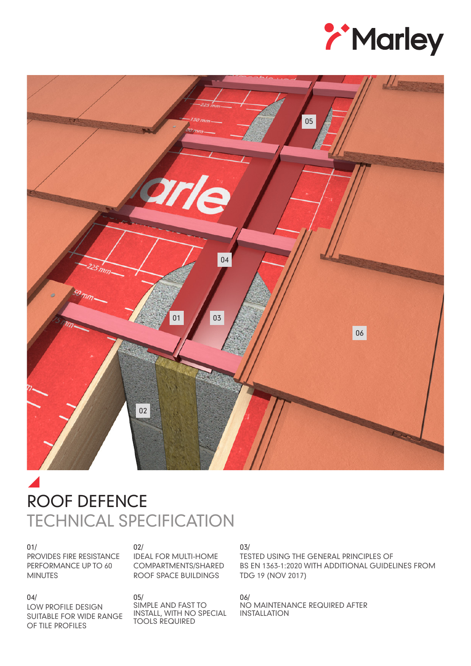



# $\blacktriangle$ ROOF DEFENCE TECHNICAL SPECIFICATION

01/ PROVIDES FIRE RESISTANCE PERFORMANCE UP TO 60 MINUTES

#### 02/

05/

IDEAL FOR MULTI-HOME COMPARTMENTS/SHARED ROOF SPACE BUILDINGS

SIMPLE AND FAST TO INSTALL, WITH NO SPECIAL

TOOLS REQUIRED

#### 04/

LOW PROFILE DESIGN SUITABLE FOR WIDE RANGE OF TILE PROFILES

#### 03/

TESTED USING THE GENERAL PRINCIPLES OF BS EN 1363-1:2020 WITH ADDITIONAL GUIDELINES FROM TDG 19 (NOV 2017)

06/ NO MAINTENANCE REQUIRED AFTER INSTALLATION